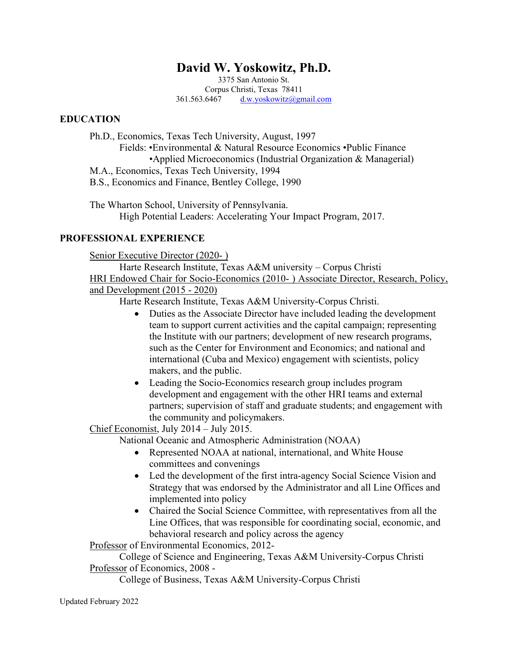# **David W. Yoskowitz, Ph.D.**

3375 San Antonio St. Corpus Christi, Texas 78411 361.563.6467 [d.w.yoskowitz@gmail.com](mailto:d.w.yoskowitz@gmail.com)

### **EDUCATION**

Ph.D., Economics, Texas Tech University, August, 1997 Fields: •Environmental & Natural Resource Economics •Public Finance •Applied Microeconomics (Industrial Organization & Managerial) M.A., Economics, Texas Tech University, 1994 B.S., Economics and Finance, Bentley College, 1990

The Wharton School, University of Pennsylvania. High Potential Leaders: Accelerating Your Impact Program, 2017.

### **PROFESSIONAL EXPERIENCE**

Senior Executive Director (2020- )

Harte Research Institute, Texas A&M university – Corpus Christi HRI Endowed Chair for Socio-Economics (2010- ) Associate Director, Research, Policy, and Development (2015 - 2020)

Harte Research Institute, Texas A&M University-Corpus Christi.

- Duties as the Associate Director have included leading the development team to support current activities and the capital campaign; representing the Institute with our partners; development of new research programs, such as the Center for Environment and Economics; and national and international (Cuba and Mexico) engagement with scientists, policy makers, and the public.
- Leading the Socio-Economics research group includes program development and engagement with the other HRI teams and external partners; supervision of staff and graduate students; and engagement with the community and policymakers.

Chief Economist, July 2014 – July 2015.

National Oceanic and Atmospheric Administration (NOAA)

- Represented NOAA at national, international, and White House committees and convenings
- Led the development of the first intra-agency Social Science Vision and Strategy that was endorsed by the Administrator and all Line Offices and implemented into policy
- Chaired the Social Science Committee, with representatives from all the Line Offices, that was responsible for coordinating social, economic, and behavioral research and policy across the agency

Professor of Environmental Economics, 2012-

College of Science and Engineering, Texas A&M University-Corpus Christi Professor of Economics, 2008 -

College of Business, Texas A&M University-Corpus Christi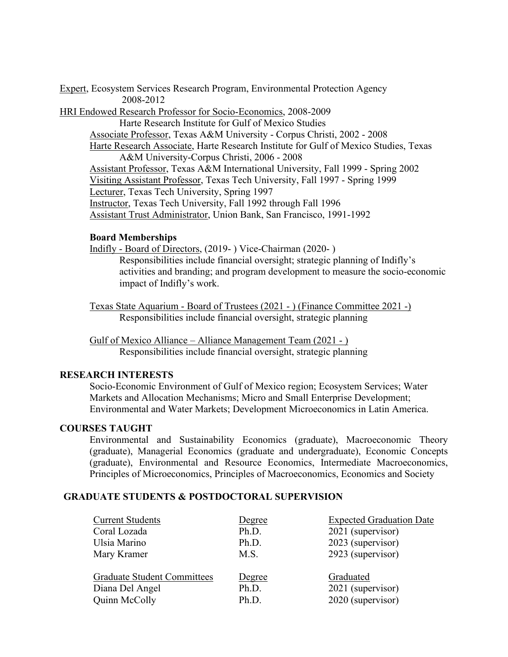Expert, Ecosystem Services Research Program, Environmental Protection Agency 2008-2012

HRI Endowed Research Professor for Socio-Economics, 2008-2009

Harte Research Institute for Gulf of Mexico Studies Associate Professor, Texas A&M University - Corpus Christi, 2002 - 2008 Harte Research Associate, Harte Research Institute for Gulf of Mexico Studies, Texas A&M University-Corpus Christi, 2006 - 2008 Assistant Professor, Texas A&M International University, Fall 1999 - Spring 2002 Visiting Assistant Professor, Texas Tech University, Fall 1997 - Spring 1999 Lecturer, Texas Tech University, Spring 1997 Instructor, Texas Tech University, Fall 1992 through Fall 1996 Assistant Trust Administrator, Union Bank, San Francisco, 1991-1992

### **Board Memberships**

Indifly - Board of Directors, (2019- ) Vice-Chairman (2020- )

Responsibilities include financial oversight; strategic planning of Indifly's activities and branding; and program development to measure the socio-economic impact of Indifly's work.

Texas State Aquarium - Board of Trustees (2021 - ) (Finance Committee 2021 -) Responsibilities include financial oversight, strategic planning

Gulf of Mexico Alliance – Alliance Management Team (2021 - ) Responsibilities include financial oversight, strategic planning

### **RESEARCH INTERESTS**

Socio-Economic Environment of Gulf of Mexico region; Ecosystem Services; Water Markets and Allocation Mechanisms; Micro and Small Enterprise Development; Environmental and Water Markets; Development Microeconomics in Latin America.

### **COURSES TAUGHT**

Environmental and Sustainability Economics (graduate), Macroeconomic Theory (graduate), Managerial Economics (graduate and undergraduate), Economic Concepts (graduate), Environmental and Resource Economics, Intermediate Macroeconomics, Principles of Microeconomics, Principles of Macroeconomics, Economics and Society

### **GRADUATE STUDENTS & POSTDOCTORAL SUPERVISION**

| <b>Current Students</b>            | Degree | <b>Expected Graduation Date</b> |
|------------------------------------|--------|---------------------------------|
| Coral Lozada                       | Ph.D.  | 2021 (supervisor)               |
| Ulsia Marino                       | Ph.D.  | 2023 (supervisor)               |
| Mary Kramer                        | M.S.   | 2923 (supervisor)               |
| <b>Graduate Student Committees</b> | Degree | Graduated                       |
| Diana Del Angel                    | Ph.D.  | 2021 (supervisor)               |
| Quinn McColly                      | Ph.D.  | 2020 (supervisor)               |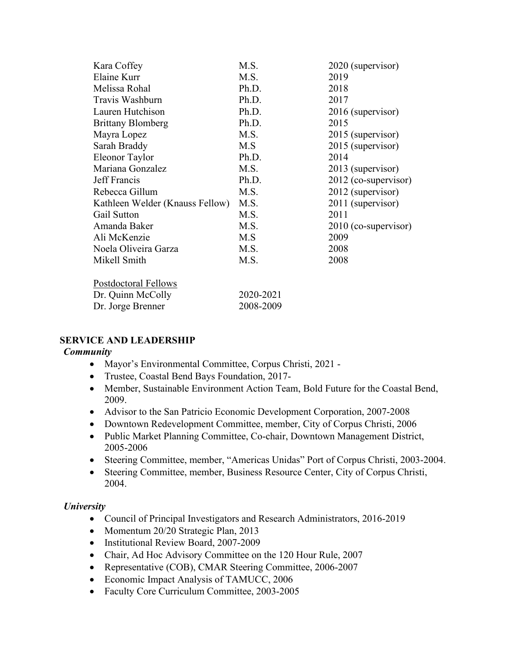| Kara Coffey                     | M.S.      | 2020 (supervisor)    |
|---------------------------------|-----------|----------------------|
| Elaine Kurr                     | M.S.      | 2019                 |
| Melissa Rohal                   | Ph.D.     | 2018                 |
| Travis Washburn                 | Ph.D.     | 2017                 |
| Lauren Hutchison                | Ph.D.     | 2016 (supervisor)    |
| <b>Brittany Blomberg</b>        | Ph.D.     | 2015                 |
| Mayra Lopez                     | M.S.      | 2015 (supervisor)    |
| Sarah Braddy                    | M.S       | 2015 (supervisor)    |
| Eleonor Taylor                  | Ph.D.     | 2014                 |
| Mariana Gonzalez                | M.S.      | 2013 (supervisor)    |
| Jeff Francis                    | Ph.D.     | 2012 (co-supervisor) |
| Rebecca Gillum                  | M.S.      | 2012 (supervisor)    |
| Kathleen Welder (Knauss Fellow) | M.S.      | 2011 (supervisor)    |
| Gail Sutton                     | M.S.      | 2011                 |
| Amanda Baker                    | M.S.      | 2010 (co-supervisor) |
| Ali McKenzie                    | M.S       | 2009                 |
| Noela Oliveira Garza            | M.S.      | 2008                 |
| Mikell Smith                    | M.S.      | 2008                 |
| Postdoctoral Fellows            |           |                      |
| Dr. Quinn McColly               | 2020-2021 |                      |
| Dr. Jorge Brenner               | 2008-2009 |                      |

### **SERVICE AND LEADERSHIP**

### *Community*

- Mayor's Environmental Committee, Corpus Christi, 2021 -
- Trustee, Coastal Bend Bays Foundation, 2017-
- Member, Sustainable Environment Action Team, Bold Future for the Coastal Bend, 2009.
- Advisor to the San Patricio Economic Development Corporation, 2007-2008
- Downtown Redevelopment Committee, member, City of Corpus Christi, 2006
- Public Market Planning Committee, Co-chair, Downtown Management District, 2005-2006
- Steering Committee, member, "Americas Unidas" Port of Corpus Christi, 2003-2004.
- Steering Committee, member, Business Resource Center, City of Corpus Christi, 2004.

### *University*

- Council of Principal Investigators and Research Administrators, 2016-2019
- Momentum 20/20 Strategic Plan, 2013
- Institutional Review Board, 2007-2009
- Chair, Ad Hoc Advisory Committee on the 120 Hour Rule, 2007
- Representative (COB), CMAR Steering Committee, 2006-2007
- Economic Impact Analysis of TAMUCC, 2006
- Faculty Core Curriculum Committee, 2003-2005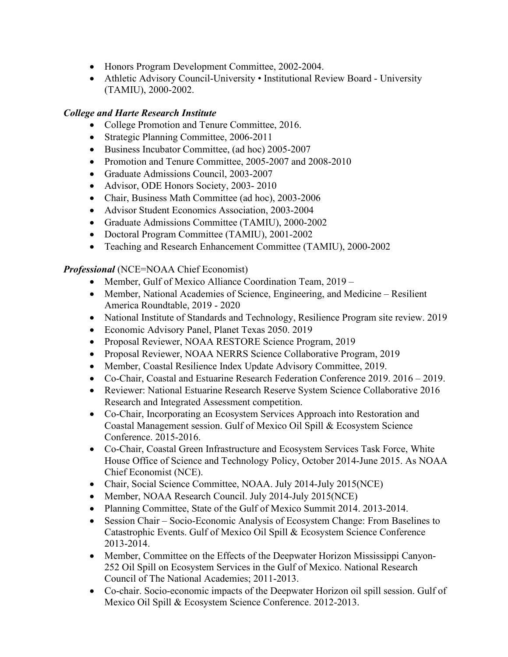- Honors Program Development Committee, 2002-2004.
- Athletic Advisory Council-University Institutional Review Board University (TAMIU), 2000-2002.

### *College and Harte Research Institute*

- College Promotion and Tenure Committee, 2016.
- Strategic Planning Committee, 2006-2011
- Business Incubator Committee, (ad hoc) 2005-2007
- Promotion and Tenure Committee, 2005-2007 and 2008-2010
- Graduate Admissions Council, 2003-2007
- Advisor, ODE Honors Society, 2003-2010
- Chair, Business Math Committee (ad hoc), 2003-2006
- Advisor Student Economics Association, 2003-2004
- Graduate Admissions Committee (TAMIU), 2000-2002
- Doctoral Program Committee (TAMIU), 2001-2002
- Teaching and Research Enhancement Committee (TAMIU), 2000-2002

### *Professional* (NCE=NOAA Chief Economist)

- Member, Gulf of Mexico Alliance Coordination Team, 2019 –
- Member, National Academies of Science, Engineering, and Medicine Resilient America Roundtable, 2019 - 2020
- National Institute of Standards and Technology, Resilience Program site review. 2019
- Economic Advisory Panel, Planet Texas 2050. 2019
- Proposal Reviewer, NOAA RESTORE Science Program, 2019
- Proposal Reviewer, NOAA NERRS Science Collaborative Program, 2019
- Member, Coastal Resilience Index Update Advisory Committee, 2019.
- Co-Chair, Coastal and Estuarine Research Federation Conference 2019. 2016 2019.
- Reviewer: National Estuarine Research Reserve System Science Collaborative 2016 Research and Integrated Assessment competition.
- Co-Chair, Incorporating an Ecosystem Services Approach into Restoration and Coastal Management session. Gulf of Mexico Oil Spill & Ecosystem Science Conference. 2015-2016.
- Co-Chair, Coastal Green Infrastructure and Ecosystem Services Task Force, White House Office of Science and Technology Policy, October 2014-June 2015. As NOAA Chief Economist (NCE).
- Chair, Social Science Committee, NOAA. July 2014-July 2015(NCE)
- Member, NOAA Research Council. July 2014-July 2015(NCE)
- Planning Committee, State of the Gulf of Mexico Summit 2014. 2013-2014.
- Session Chair Socio-Economic Analysis of Ecosystem Change: From Baselines to Catastrophic Events. Gulf of Mexico Oil Spill & Ecosystem Science Conference 2013-2014.
- Member, Committee on the Effects of the Deepwater Horizon Mississippi Canyon-252 Oil Spill on Ecosystem Services in the Gulf of Mexico. National Research Council of The National Academies; 2011-2013.
- Co-chair. Socio-economic impacts of the Deepwater Horizon oil spill session. Gulf of Mexico Oil Spill & Ecosystem Science Conference. 2012-2013.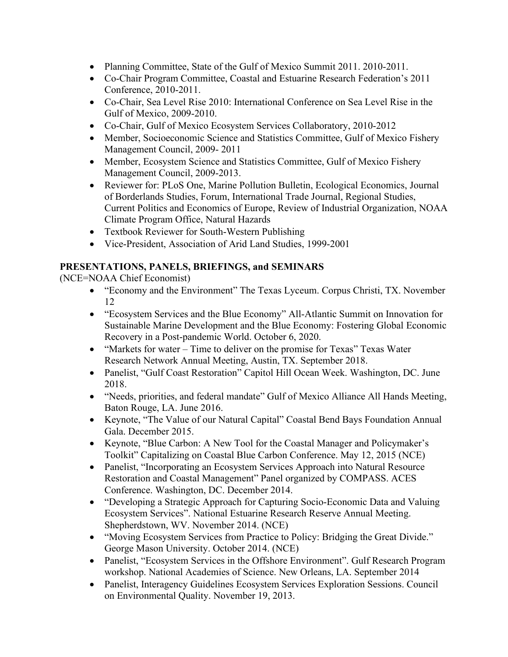- Planning Committee, State of the Gulf of Mexico Summit 2011. 2010-2011.
- Co-Chair Program Committee, Coastal and Estuarine Research Federation's 2011 Conference, 2010-2011.
- Co-Chair, Sea Level Rise 2010: International Conference on Sea Level Rise in the Gulf of Mexico, 2009-2010.
- Co-Chair, Gulf of Mexico Ecosystem Services Collaboratory, 2010-2012
- Member, Socioeconomic Science and Statistics Committee, Gulf of Mexico Fishery Management Council, 2009- 2011
- Member, Ecosystem Science and Statistics Committee, Gulf of Mexico Fishery Management Council, 2009-2013.
- Reviewer for: PLoS One, Marine Pollution Bulletin, Ecological Economics, Journal of Borderlands Studies, Forum, International Trade Journal, Regional Studies, Current Politics and Economics of Europe, Review of Industrial Organization, NOAA Climate Program Office, Natural Hazards
- Textbook Reviewer for South-Western Publishing
- Vice-President, Association of Arid Land Studies, 1999-2001

## **PRESENTATIONS, PANELS, BRIEFINGS, and SEMINARS**

(NCE=NOAA Chief Economist)

- "Economy and the Environment" The Texas Lyceum. Corpus Christi, TX. November 12
- "Ecosystem Services and the Blue Economy" All-Atlantic Summit on Innovation for Sustainable Marine Development and the Blue Economy: Fostering Global Economic Recovery in a Post-pandemic World. October 6, 2020.
- "Markets for water Time to deliver on the promise for Texas" Texas Water Research Network Annual Meeting, Austin, TX. September 2018.
- Panelist, "Gulf Coast Restoration" Capitol Hill Ocean Week. Washington, DC. June 2018.
- "Needs, priorities, and federal mandate" Gulf of Mexico Alliance All Hands Meeting, Baton Rouge, LA. June 2016.
- Keynote, "The Value of our Natural Capital" Coastal Bend Bays Foundation Annual Gala. December 2015.
- Keynote, "Blue Carbon: A New Tool for the Coastal Manager and Policymaker's Toolkit" Capitalizing on Coastal Blue Carbon Conference. May 12, 2015 (NCE)
- Panelist, "Incorporating an Ecosystem Services Approach into Natural Resource Restoration and Coastal Management" Panel organized by COMPASS. ACES Conference. Washington, DC. December 2014.
- "Developing a Strategic Approach for Capturing Socio-Economic Data and Valuing Ecosystem Services". National Estuarine Research Reserve Annual Meeting. Shepherdstown, WV. November 2014. (NCE)
- "Moving Ecosystem Services from Practice to Policy: Bridging the Great Divide." George Mason University. October 2014. (NCE)
- Panelist, "Ecosystem Services in the Offshore Environment". Gulf Research Program workshop. National Academies of Science. New Orleans, LA. September 2014
- Panelist, Interagency Guidelines Ecosystem Services Exploration Sessions. Council on Environmental Quality. November 19, 2013.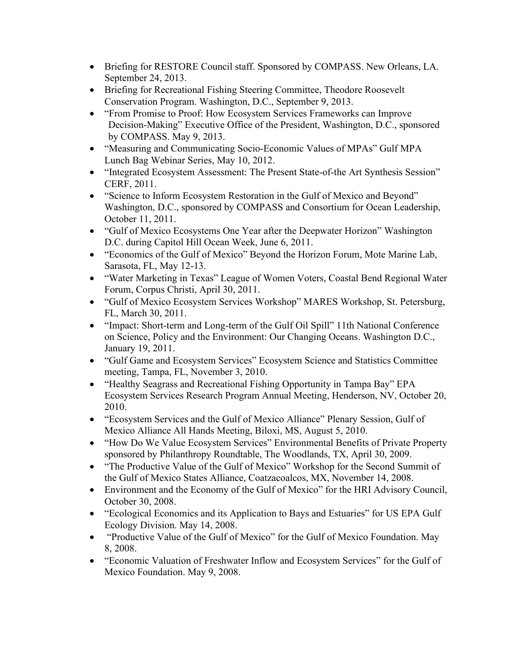- Briefing for RESTORE Council staff. Sponsored by COMPASS. New Orleans, LA. September 24, 2013.
- Briefing for Recreational Fishing Steering Committee, Theodore Roosevelt Conservation Program. Washington, D.C., September 9, 2013.
- "From Promise to Proof: How Ecosystem Services Frameworks can Improve Decision-Making" Executive Office of the President, Washington, D.C., sponsored by COMPASS. May 9, 2013.
- "Measuring and Communicating Socio-Economic Values of MPAs" Gulf MPA Lunch Bag Webinar Series, May 10, 2012.
- "Integrated Ecosystem Assessment: The Present State-of-the Art Synthesis Session" CERF, 2011.
- "Science to Inform Ecosystem Restoration in the Gulf of Mexico and Beyond" Washington, D.C., sponsored by COMPASS and Consortium for Ocean Leadership, October 11, 2011.
- "Gulf of Mexico Ecosystems One Year after the Deepwater Horizon" Washington D.C. during Capitol Hill Ocean Week, June 6, 2011.
- "Economics of the Gulf of Mexico" Beyond the Horizon Forum, Mote Marine Lab, Sarasota, FL, May 12-13.
- "Water Marketing in Texas" League of Women Voters, Coastal Bend Regional Water Forum, Corpus Christi, April 30, 2011.
- "Gulf of Mexico Ecosystem Services Workshop" MARES Workshop, St. Petersburg, FL, March 30, 2011.
- "Impact: Short-term and Long-term of the Gulf Oil Spill" 11th National Conference on Science, Policy and the Environment: Our Changing Oceans. Washington D.C., January 19, 2011.
- "Gulf Game and Ecosystem Services" Ecosystem Science and Statistics Committee meeting, Tampa, FL, November 3, 2010.
- "Healthy Seagrass and Recreational Fishing Opportunity in Tampa Bay" EPA Ecosystem Services Research Program Annual Meeting, Henderson, NV, October 20, 2010.
- "Ecosystem Services and the Gulf of Mexico Alliance" Plenary Session, Gulf of Mexico Alliance All Hands Meeting, Biloxi, MS, August 5, 2010.
- "How Do We Value Ecosystem Services" Environmental Benefits of Private Property sponsored by Philanthropy Roundtable, The Woodlands, TX, April 30, 2009.
- "The Productive Value of the Gulf of Mexico" Workshop for the Second Summit of the Gulf of Mexico States Alliance, Coatzacoalcos, MX, November 14, 2008.
- Environment and the Economy of the Gulf of Mexico" for the HRI Advisory Council, October 30, 2008.
- "Ecological Economics and its Application to Bays and Estuaries" for US EPA Gulf Ecology Division. May 14, 2008.
- "Productive Value of the Gulf of Mexico" for the Gulf of Mexico Foundation. May 8, 2008.
- "Economic Valuation of Freshwater Inflow and Ecosystem Services" for the Gulf of Mexico Foundation. May 9, 2008.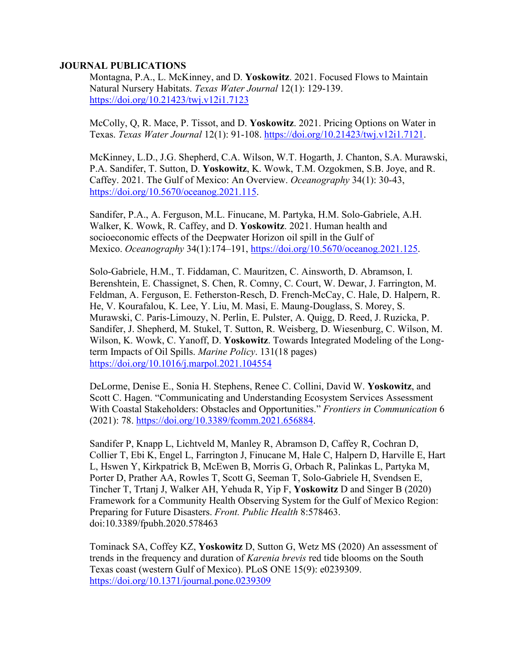#### **JOURNAL PUBLICATIONS**

Montagna, P.A., L. McKinney, and D. **Yoskowitz**. 2021. Focused Flows to Maintain Natural Nursery Habitats. *Texas Water Journal* 12(1): 129-139. <https://doi.org/10.21423/twj.v12i1.7123>

McColly, Q, R. Mace, P. Tissot, and D. **Yoskowitz**. 2021. Pricing Options on Water in Texas. *Texas Water Journal* 12(1): 91-108. [https://doi.org/10.21423/twj.v12i1.7121.](https://doi.org/10.21423/twj.v12i1.7121)

McKinney, L.D., J.G. Shepherd, C.A. Wilson, W.T. Hogarth, J. Chanton, S.A. Murawski, P.A. Sandifer, T. Sutton, D. **Yoskowitz**, K. Wowk, T.M. Ozgokmen, S.B. Joye, and R. Caffey. 2021. The Gulf of Mexico: An Overview. *Oceanography* 34(1): 30-43, [https://doi.org/10.5670/oceanog.2021.115.](https://doi.org/10.5670/oceanog.2021.115)

Sandifer, P.A., A. Ferguson, M.L. Finucane, M. Partyka, H.M. Solo-Gabriele, A.H. Walker, K. Wowk, R. Caffey, and D. **Yoskowitz**. 2021. Human health and socioeconomic effects of the Deepwater Horizon oil spill in the Gulf of Mexico. *Oceanography* 34(1):174–191, [https://doi.org/10.5670/oceanog.2021.125.](https://doi.org/10.5670/oceanog.2021.125)

Solo-Gabriele, H.M., T. Fiddaman, C. Mauritzen, C. Ainsworth, D. Abramson, I. Berenshtein, E. Chassignet, S. Chen, R. Comny, C. Court, W. Dewar, J. Farrington, M. Feldman, A. Ferguson, E. Fetherston-Resch, D. French-McCay, C. Hale, D. Halpern, R. He, V. Kourafalou, K. Lee, Y. Liu, M. Masi, E. Maung-Douglass, S. Morey, S. Murawski, C. Paris-Limouzy, N. Perlin, E. Pulster, A. Quigg, D. Reed, J. Ruzicka, P. Sandifer, J. Shepherd, M. Stukel, T. Sutton, R. Weisberg, D. Wiesenburg, C. Wilson, M. Wilson, K. Wowk, C. Yanoff, D. **Yoskowitz**. Towards Integrated Modeling of the Longterm Impacts of Oil Spills. *Marine Policy*. 131(18 pages) <https://doi.org/10.1016/j.marpol.2021.104554>

DeLorme, Denise E., Sonia H. Stephens, Renee C. Collini, David W. **Yoskowitz**, and Scott C. Hagen. "Communicating and Understanding Ecosystem Services Assessment With Coastal Stakeholders: Obstacles and Opportunities." *Frontiers in Communication* 6 (2021): 78. [https://doi.org/10.3389/fcomm.2021.656884.](https://doi.org/10.3389/fcomm.2021.656884)

Sandifer P, Knapp L, Lichtveld M, Manley R, Abramson D, Caffey R, Cochran D, Collier T, Ebi K, Engel L, Farrington J, Finucane M, Hale C, Halpern D, Harville E, Hart L, Hswen Y, Kirkpatrick B, McEwen B, Morris G, Orbach R, Palinkas L, Partyka M, Porter D, Prather AA, Rowles T, Scott G, Seeman T, Solo-Gabriele H, Svendsen E, Tincher T, Trtanj J, Walker AH, Yehuda R, Yip F, **Yoskowitz** D and Singer B (2020) Framework for a Community Health Observing System for the Gulf of Mexico Region: Preparing for Future Disasters. *Front. Public Health* 8:578463. doi:10.3389/fpubh.2020.578463

Tominack SA, Coffey KZ, **Yoskowitz** D, Sutton G, Wetz MS (2020) An assessment of trends in the frequency and duration of *Karenia brevis* red tide blooms on the South Texas coast (western Gulf of Mexico). PLoS ONE 15(9): e0239309. <https://doi.org/10.1371/journal.pone.0239309>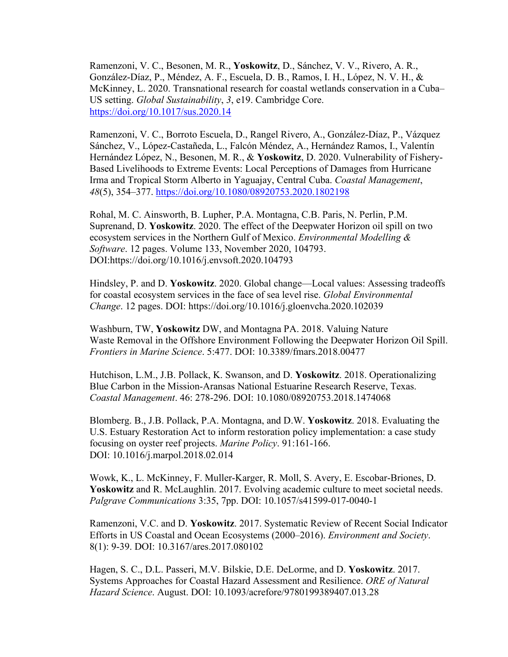Ramenzoni, V. C., Besonen, M. R., **Yoskowitz**, D., Sánchez, V. V., Rivero, A. R., González-Díaz, P., Méndez, A. F., Escuela, D. B., Ramos, I. H., López, N. V. H., & McKinney, L. 2020. Transnational research for coastal wetlands conservation in a Cuba– US setting. *Global Sustainability*, *3*, e19. Cambridge Core. <https://doi.org/10.1017/sus.2020.14>

Ramenzoni, V. C., Borroto Escuela, D., Rangel Rivero, A., González-Díaz, P., Vázquez Sánchez, V., López-Castañeda, L., Falcón Méndez, A., Hernández Ramos, I., Valentín Hernández López, N., Besonen, M. R., & **Yoskowitz**, D. 2020. Vulnerability of Fishery-Based Livelihoods to Extreme Events: Local Perceptions of Damages from Hurricane Irma and Tropical Storm Alberto in Yaguajay, Central Cuba. *Coastal Management*, *48*(5), 354–377.<https://doi.org/10.1080/08920753.2020.1802198>

Rohal, M. C. Ainsworth, B. Lupher, P.A. Montagna, C.B. Paris, N. Perlin, P.M. Suprenand, D. **Yoskowitz**. 2020. The effect of the Deepwater Horizon oil spill on two ecosystem services in the Northern Gulf of Mexico. *Environmental Modelling & Software*. 12 pages. Volume 133, November 2020, 104793. DOI:https://doi.org/10.1016/j.envsoft.2020.104793

Hindsley, P. and D. **Yoskowitz**. 2020. Global change—Local values: Assessing tradeoffs for coastal ecosystem services in the face of sea level rise. *Global Environmental Change*. 12 pages. DOI: https://doi.org/10.1016/j.gloenvcha.2020.102039

Washburn, TW, **Yoskowitz** DW, and Montagna PA. 2018. Valuing Nature Waste Removal in the Offshore Environment Following the Deepwater Horizon Oil Spill. *Frontiers in Marine Science*. 5:477. DOI: 10.3389/fmars.2018.00477

Hutchison, L.M., J.B. Pollack, K. Swanson, and D. **Yoskowitz**. 2018. Operationalizing Blue Carbon in the Mission-Aransas National Estuarine Research Reserve, Texas. *Coastal Management*. 46: 278-296. DOI: 10.1080/08920753.2018.1474068

Blomberg. B., J.B. Pollack, P.A. Montagna, and D.W. **Yoskowitz**. 2018. Evaluating the U.S. Estuary Restoration Act to inform restoration policy implementation: a case study focusing on oyster reef projects. *Marine Policy*. 91:161-166. DOI: 10.1016/j.marpol.2018.02.014

Wowk, K., L. McKinney, F. Muller-Karger, R. Moll, S. Avery, E. Escobar-Briones, D. **Yoskowitz** and R. McLaughlin. 2017. Evolving academic culture to meet societal needs. *Palgrave Communications* 3:35, 7pp. DOI: 10.1057/s41599-017-0040-1

Ramenzoni, V.C. and D. **Yoskowitz**. 2017. Systematic Review of Recent Social Indicator Efforts in US Coastal and Ocean Ecosystems (2000–2016). *Environment and Society*. 8(1): 9-39. DOI: 10.3167/ares.2017.080102

Hagen, S. C., D.L. Passeri, M.V. Bilskie, D.E. DeLorme, and D. **Yoskowitz**. 2017. Systems Approaches for Coastal Hazard Assessment and Resilience. *ORE of Natural Hazard Science*. August. DOI: 10.1093/acrefore/9780199389407.013.28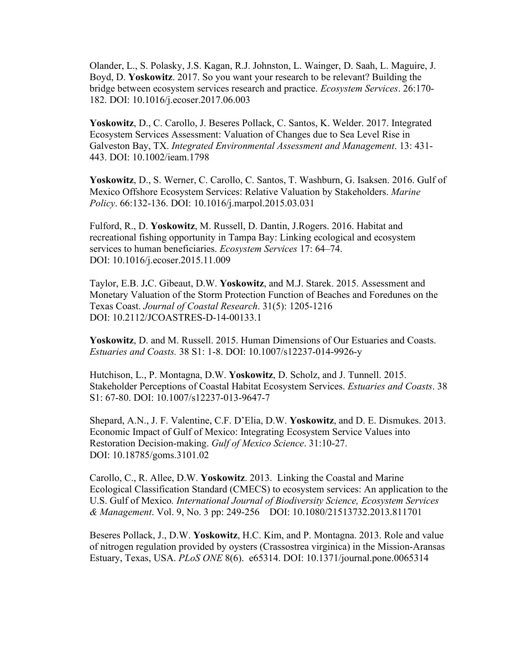Olander, L., S. Polasky, J.S. Kagan, R.J. Johnston, L. Wainger, D. Saah, L. Maguire, J. Boyd, D. **Yoskowitz**. 2017. So you want your research to be relevant? Building the bridge between ecosystem services research and practice. *Ecosystem Services*. 26:170- 182. DOI: 10.1016/j.ecoser.2017.06.003

**Yoskowitz**, D., C. Carollo, J. Beseres Pollack, C. Santos, K. Welder. 2017. Integrated Ecosystem Services Assessment: Valuation of Changes due to Sea Level Rise in Galveston Bay, TX. *Integrated Environmental Assessment and Management*. 13: 431- 443. DOI: 10.1002/ieam.1798

**Yoskowitz**, D., S. Werner, C. Carollo, C. Santos, T. Washburn, G. Isaksen. 2016. Gulf of Mexico Offshore Ecosystem Services: Relative Valuation by Stakeholders. *Marine Policy*. 66:132-136. DOI: 10.1016/j.marpol.2015.03.031

Fulford, R., D. **Yoskowitz**, M. Russell, D. Dantin, J.Rogers. 2016. Habitat and recreational fishing opportunity in Tampa Bay: Linking ecological and ecosystem services to human beneficiaries. *Ecosystem Services* 17: 64–74. DOI: 10.1016/j.ecoser.2015.11.009

Taylor, E.B. J**.**C. Gibeaut, D.W. **Yoskowitz**, and M.J. Starek. 2015. Assessment and Monetary Valuation of the Storm Protection Function of Beaches and Foredunes on the Texas Coast. *Journal of Coastal Research*. 31(5): 1205-1216 DOI: 10.2112/JCOASTRES-D-14-00133.1

**Yoskowitz**, D. and M. Russell. 2015. Human Dimensions of Our Estuaries and Coasts. *Estuaries and Coasts.* 38 S1: 1-8. DOI: 10.1007/s12237-014-9926-y

Hutchison, L., P. Montagna, D.W. **Yoskowitz**, D. Scholz, and J. Tunnell. 2015. Stakeholder Perceptions of Coastal Habitat Ecosystem Services. *Estuaries and Coasts*. 38 S1: 67-80. DOI: 10.1007/s12237-013-9647-7

Shepard, A.N., J. F. Valentine, C.F. D'Elia, D.W. **Yoskowitz**, and D. E. Dismukes. 2013. Economic Impact of Gulf of Mexico: Integrating Ecosystem Service Values into Restoration Decision-making. *Gulf of Mexico Science*. 31:10-27. DOI: 10.18785/goms.3101.02

Carollo, C., R. Allee, D.W. **Yoskowitz**. 2013. Linking the Coastal and Marine Ecological Classification Standard (CMECS) to ecosystem services: An application to the U.S. Gulf of Mexico*. International Journal of Biodiversity Science, Ecosystem Services & Management*. Vol. 9, No. 3 pp: 249-256 DOI: 10.1080/21513732.2013.811701

Beseres Pollack, J., D.W. **Yoskowitz**, H.C. Kim, and P. Montagna. 2013. Role and value of nitrogen regulation provided by oysters (Crassostrea virginica) in the Mission-Aransas Estuary, Texas, USA. *PLoS ONE* 8(6). e65314. DOI: 10.1371/journal.pone.0065314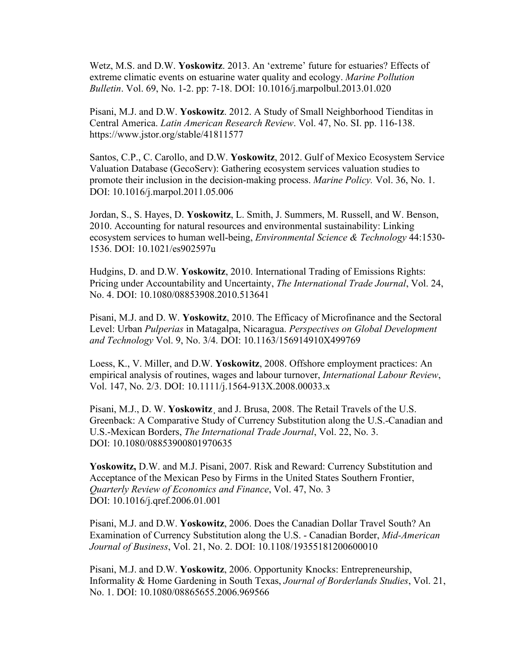Wetz, M.S. and D.W. **Yoskowitz**. 2013. An 'extreme' future for estuaries? Effects of extreme climatic events on estuarine water quality and ecology. *Marine Pollution Bulletin*. Vol. 69, No. 1-2. pp: 7-18. DOI: 10.1016/j.marpolbul.2013.01.020

Pisani, M.J. and D.W. **Yoskowitz**. 2012. A Study of Small Neighborhood Tienditas in Central America. *Latin American Research Review*. Vol. 47, No. SI. pp. 116-138. https://www.jstor.org/stable/41811577

Santos, C.P., C. Carollo, and D.W. **Yoskowitz**, 2012. Gulf of Mexico Ecosystem Service Valuation Database (GecoServ): Gathering ecosystem services valuation studies to promote their inclusion in the decision-making process. *Marine Policy.* Vol. 36, No. 1. DOI: 10.1016/j.marpol.2011.05.006

Jordan, S., S. Hayes, D. **Yoskowitz**, L. Smith, J. Summers, M. Russell, and W. Benson, 2010. Accounting for natural resources and environmental sustainability: Linking ecosystem services to human well-being, *Environmental Science & Technology* 44:1530- 1536. DOI: 10.1021/es902597u

Hudgins, D. and D.W. **Yoskowitz**, 2010. International Trading of Emissions Rights: Pricing under Accountability and Uncertainty, *The International Trade Journal*, Vol. 24, No. 4. DOI: 10.1080/08853908.2010.513641

Pisani, M.J. and D. W. **Yoskowitz**, 2010. The Efficacy of Microfinance and the Sectoral Level: Urban *Pulperias* in Matagalpa, Nicaragua. *Perspectives on Global Development and Technology* Vol. 9, No. 3/4. DOI: 10.1163/156914910X499769

Loess, K., V. Miller, and D.W. **Yoskowitz**, 2008. Offshore employment practices: An empirical analysis of routines, wages and labour turnover, *International Labour Review*, Vol. 147, No. 2/3. DOI: 10.1111/j.1564-913X.2008.00033.x

Pisani, M.J., D. W. **Yoskowitz**¸ and J. Brusa, 2008. The Retail Travels of the U.S. Greenback: A Comparative Study of Currency Substitution along the U.S.-Canadian and U.S.-Mexican Borders, *The International Trade Journal*, Vol. 22, No. 3. DOI: 10.1080/08853900801970635

**Yoskowitz,** D.W. and M.J. Pisani, 2007. Risk and Reward: Currency Substitution and Acceptance of the Mexican Peso by Firms in the United States Southern Frontier, *Quarterly Review of Economics and Finance*, Vol. 47, No. 3 DOI: 10.1016/j.qref.2006.01.001

Pisani, M.J. and D.W. **Yoskowitz**, 2006. Does the Canadian Dollar Travel South? An Examination of Currency Substitution along the U.S. - Canadian Border, *Mid-American Journal of Business*, Vol. 21, No. 2. DOI: 10.1108/19355181200600010

Pisani, M.J. and D.W. **Yoskowitz**, 2006. Opportunity Knocks: Entrepreneurship, Informality & Home Gardening in South Texas, *Journal of Borderlands Studies*, Vol. 21, No. 1. DOI: 10.1080/08865655.2006.969566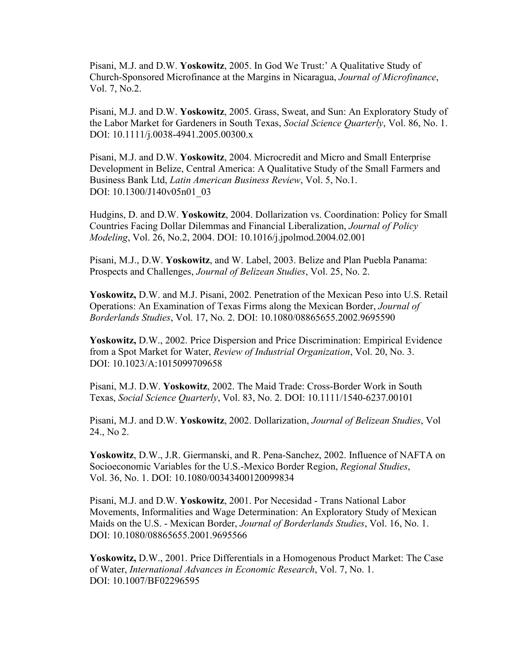Pisani, M.J. and D.W. **Yoskowitz**, 2005. In God We Trust:' A Qualitative Study of Church-Sponsored Microfinance at the Margins in Nicaragua, *Journal of Microfinance*, Vol. 7, No.2.

Pisani, M.J. and D.W. **Yoskowitz**, 2005. Grass, Sweat, and Sun: An Exploratory Study of the Labor Market for Gardeners in South Texas, *Social Science Quarterly*, Vol. 86, No. 1. DOI: 10.1111/j.0038-4941.2005.00300.x

Pisani, M.J. and D.W. **Yoskowitz**, 2004. Microcredit and Micro and Small Enterprise Development in Belize, Central America: A Qualitative Study of the Small Farmers and Business Bank Ltd, *Latin American Business Review*, Vol. 5, No.1. DOI: 10.1300/J140v05n01\_03

Hudgins, D. and D.W. **Yoskowitz**, 2004. Dollarization vs. Coordination: Policy for Small Countries Facing Dollar Dilemmas and Financial Liberalization, *Journal of Policy Modeling*, Vol. 26, No.2, 2004. DOI: 10.1016/j.jpolmod.2004.02.001

Pisani, M.J., D.W. **Yoskowitz**, and W. Label, 2003. Belize and Plan Puebla Panama: Prospects and Challenges, *Journal of Belizean Studies*, Vol. 25, No. 2.

**Yoskowitz,** D.W. and M.J. Pisani, 2002. Penetration of the Mexican Peso into U.S. Retail Operations: An Examination of Texas Firms along the Mexican Border, *Journal of Borderlands Studies*, Vol. 17, No. 2. DOI: 10.1080/08865655.2002.9695590

**Yoskowitz,** D.W., 2002. Price Dispersion and Price Discrimination: Empirical Evidence from a Spot Market for Water, *Review of Industrial Organization*, Vol. 20, No. 3. DOI: 10.1023/A:1015099709658

Pisani, M.J. D.W. **Yoskowitz**, 2002. The Maid Trade: Cross-Border Work in South Texas, *Social Science Quarterly*, Vol. 83, No. 2. DOI: 10.1111/1540-6237.00101

Pisani, M.J. and D.W. **Yoskowitz**, 2002. Dollarization, *Journal of Belizean Studies*, Vol 24., No 2.

**Yoskowitz**, D.W., J.R. Giermanski, and R. Pena-Sanchez, 2002. Influence of NAFTA on Socioeconomic Variables for the U.S.-Mexico Border Region, *Regional Studies*, Vol. 36, No. 1. DOI: 10.1080/00343400120099834

Pisani, M.J. and D.W. **Yoskowitz**, 2001. Por Necesidad - Trans National Labor Movements, Informalities and Wage Determination: An Exploratory Study of Mexican Maids on the U.S. - Mexican Border, *Journal of Borderlands Studies*, Vol. 16, No. 1. DOI: 10.1080/08865655.2001.9695566

**Yoskowitz,** D.W., 2001. Price Differentials in a Homogenous Product Market: The Case of Water, *International Advances in Economic Research*, Vol. 7, No. 1. DOI: 10.1007/BF02296595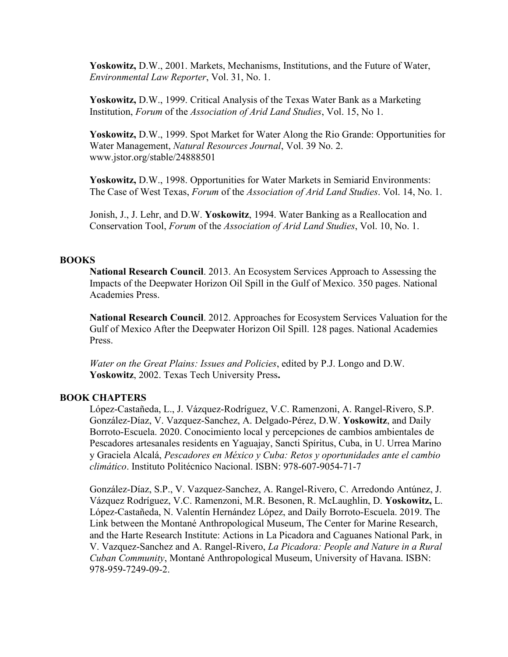**Yoskowitz,** D.W., 2001. Markets, Mechanisms, Institutions, and the Future of Water, *Environmental Law Reporter*, Vol. 31, No. 1.

**Yoskowitz,** D.W., 1999. Critical Analysis of the Texas Water Bank as a Marketing Institution, *Forum* of the *Association of Arid Land Studies*, Vol. 15, No 1.

**Yoskowitz,** D.W., 1999. Spot Market for Water Along the Rio Grande: Opportunities for Water Management, *Natural Resources Journal*, Vol. 39 No. 2. www.jstor.org/stable/24888501

**Yoskowitz,** D.W., 1998. Opportunities for Water Markets in Semiarid Environments: The Case of West Texas, *Forum* of the *Association of Arid Land Studies*. Vol. 14, No. 1.

Jonish, J., J. Lehr, and D.W. **Yoskowitz**, 1994. Water Banking as a Reallocation and Conservation Tool, *Forum* of the *Association of Arid Land Studies*, Vol. 10, No. 1.

### **BOOKS**

**National Research Council**. 2013. An Ecosystem Services Approach to Assessing the Impacts of the Deepwater Horizon Oil Spill in the Gulf of Mexico. 350 pages. National Academies Press.

**National Research Council**. 2012. Approaches for Ecosystem Services Valuation for the Gulf of Mexico After the Deepwater Horizon Oil Spill. 128 pages. National Academies Press.

*Water on the Great Plains: Issues and Policies*, edited by P.J. Longo and D.W. **Yoskowitz**, 2002. Texas Tech University Press**.**

### **BOOK CHAPTERS**

López-Castañeda, L., J. Vázquez-Rodríguez, V.C. Ramenzoni, A. Rangel-Rivero, S.P. González-Díaz, V. Vazquez-Sanchez, A. Delgado-Pérez, D.W. **Yoskowitz**, and Daily Borroto-Escuela. 2020. Conocimiento local y percepciones de cambios ambientales de Pescadores artesanales residents en Yaguajay, Sancti Spíritus, Cuba, in U. Urrea Marino y Graciela Alcalá, *Pescadores en México y Cuba: Retos y oportunidades ante el cambio climático*. Instituto Politécnico Nacional. ISBN: 978-607-9054-71-7

González-Díaz, S.P., V. Vazquez-Sanchez, A. Rangel-Rivero, C. Arredondo Antúnez, J. Vázquez Rodríguez, V.C. Ramenzoni, M.R. Besonen, R. McLaughlin, D. **Yoskowitz,** L. López-Castañeda, N. Valentín Hernández López, and Daily Borroto-Escuela. 2019. The Link between the Montané Anthropological Museum, The Center for Marine Research, and the Harte Research Institute: Actions in La Picadora and Caguanes National Park, in V. Vazquez-Sanchez and A. Rangel-Rivero, *La Picadora: People and Nature in a Rural Cuban Community*, Montané Anthropological Museum, University of Havana. ISBN: 978-959-7249-09-2.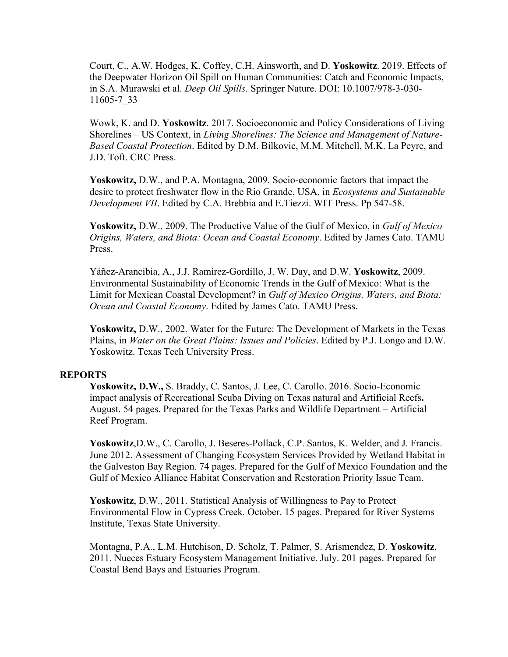Court, C., A.W. Hodges, K. Coffey, C.H. Ainsworth, and D. **Yoskowitz**. 2019. Effects of the Deepwater Horizon Oil Spill on Human Communities: Catch and Economic Impacts, in S.A. Murawski et al. *Deep Oil Spills.* Springer Nature. DOI: 10.1007/978-3-030- 11605-7\_33

Wowk, K. and D. **Yoskowitz**. 2017. Socioeconomic and Policy Considerations of Living Shorelines – US Context, in *Living Shorelines: The Science and Management of Nature-Based Coastal Protection*. Edited by D.M. Bilkovic, M.M. Mitchell, M.K. La Peyre, and J.D. Toft. CRC Press.

**Yoskowitz,** D.W., and P.A. Montagna, 2009. Socio-economic factors that impact the desire to protect freshwater flow in the Rio Grande, USA, in *Ecosystems and Sustainable Development VII*. Edited by C.A. Brebbia and E.Tiezzi. WIT Press. Pp 547-58.

**Yoskowitz,** D.W., 2009. The Productive Value of the Gulf of Mexico, in *Gulf of Mexico Origins, Waters, and Biota: Ocean and Coastal Economy*. Edited by James Cato. TAMU Press.

Yáñez-Arancibia, A., J.J. Ramírez-Gordillo, J. W. Day, and D.W. **Yoskowitz**, 2009. Environmental Sustainability of Economic Trends in the Gulf of Mexico: What is the Limit for Mexican Coastal Development? in *Gulf of Mexico Origins, Waters, and Biota: Ocean and Coastal Economy*. Edited by James Cato. TAMU Press.

**Yoskowitz,** D.W., 2002. Water for the Future: The Development of Markets in the Texas Plains, in *Water on the Great Plains: Issues and Policies*. Edited by P.J. Longo and D.W. Yoskowitz. Texas Tech University Press.

#### **REPORTS**

**Yoskowitz, D.W.,** S. Braddy, C. Santos, J. Lee, C. Carollo. 2016. Socio-Economic impact analysis of Recreational Scuba Diving on Texas natural and Artificial Reefs**.**  August. 54 pages. Prepared for the Texas Parks and Wildlife Department – Artificial Reef Program.

**Yoskowitz**,D.W., C. Carollo, J. Beseres-Pollack, C.P. Santos, K. Welder, and J. Francis. June 2012. Assessment of Changing Ecosystem Services Provided by Wetland Habitat in the Galveston Bay Region. 74 pages. Prepared for the Gulf of Mexico Foundation and the Gulf of Mexico Alliance Habitat Conservation and Restoration Priority Issue Team.

**Yoskowitz**, D.W., 2011. Statistical Analysis of Willingness to Pay to Protect Environmental Flow in Cypress Creek. October. 15 pages. Prepared for River Systems Institute, Texas State University.

Montagna, P.A., L.M. Hutchison, D. Scholz, T. Palmer, S. Arismendez, D. **Yoskowitz**, 2011. Nueces Estuary Ecosystem Management Initiative. July. 201 pages. Prepared for Coastal Bend Bays and Estuaries Program.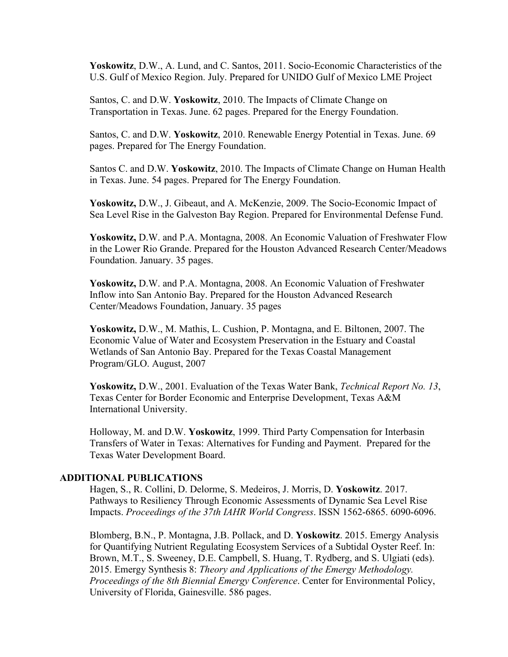**Yoskowitz**, D.W., A. Lund, and C. Santos, 2011. Socio-Economic Characteristics of the U.S. Gulf of Mexico Region. July. Prepared for UNIDO Gulf of Mexico LME Project

Santos, C. and D.W. **Yoskowitz**, 2010. The Impacts of Climate Change on Transportation in Texas. June. 62 pages. Prepared for the Energy Foundation.

Santos, C. and D.W. **Yoskowitz**, 2010. Renewable Energy Potential in Texas. June. 69 pages. Prepared for The Energy Foundation.

Santos C. and D.W. **Yoskowitz**, 2010. The Impacts of Climate Change on Human Health in Texas. June. 54 pages. Prepared for The Energy Foundation.

**Yoskowitz,** D.W., J. Gibeaut, and A. McKenzie, 2009. The Socio-Economic Impact of Sea Level Rise in the Galveston Bay Region. Prepared for Environmental Defense Fund.

**Yoskowitz,** D.W. and P.A. Montagna, 2008. An Economic Valuation of Freshwater Flow in the Lower Rio Grande. Prepared for the Houston Advanced Research Center/Meadows Foundation. January. 35 pages.

**Yoskowitz,** D.W. and P.A. Montagna, 2008. An Economic Valuation of Freshwater Inflow into San Antonio Bay. Prepared for the Houston Advanced Research Center/Meadows Foundation, January. 35 pages

**Yoskowitz,** D.W., M. Mathis, L. Cushion, P. Montagna, and E. Biltonen, 2007. The Economic Value of Water and Ecosystem Preservation in the Estuary and Coastal Wetlands of San Antonio Bay. Prepared for the Texas Coastal Management Program/GLO. August, 2007

**Yoskowitz,** D.W., 2001. Evaluation of the Texas Water Bank, *Technical Report No. 13*, Texas Center for Border Economic and Enterprise Development, Texas A&M International University.

Holloway, M. and D.W. **Yoskowitz**, 1999. Third Party Compensation for Interbasin Transfers of Water in Texas: Alternatives for Funding and Payment. Prepared for the Texas Water Development Board.

#### **ADDITIONAL PUBLICATIONS**

Hagen, S., R. Collini, D. Delorme, S. Medeiros, J. Morris, D. **Yoskowitz**. 2017. Pathways to Resiliency Through Economic Assessments of Dynamic Sea Level Rise Impacts. *Proceedings of the 37th IAHR World Congress*. ISSN 1562-6865. 6090-6096.

Blomberg, B.N., P. Montagna, J.B. Pollack, and D. **Yoskowitz**. 2015. Emergy Analysis for Quantifying Nutrient Regulating Ecosystem Services of a Subtidal Oyster Reef. In: Brown, M.T., S. Sweeney, D.E. Campbell, S. Huang, T. Rydberg, and S. Ulgiati (eds). 2015. Emergy Synthesis 8: *Theory and Applications of the Emergy Methodology. Proceedings of the 8th Biennial Emergy Conference*. Center for Environmental Policy, University of Florida, Gainesville. 586 pages.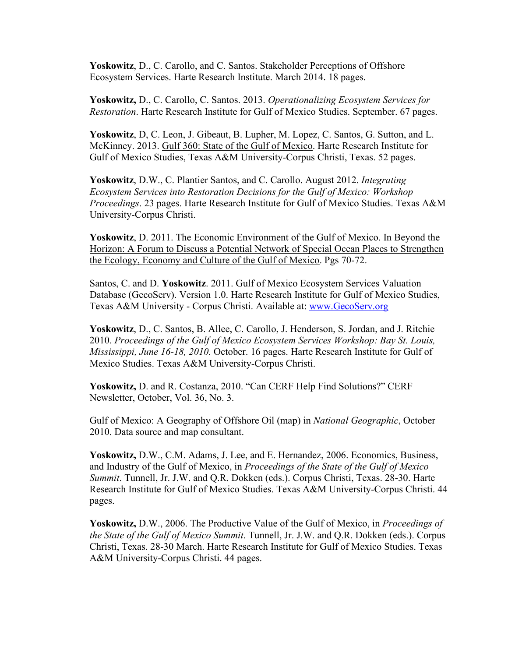**Yoskowitz**, D., C. Carollo, and C. Santos. Stakeholder Perceptions of Offshore Ecosystem Services. Harte Research Institute. March 2014. 18 pages.

**Yoskowitz,** D., C. Carollo, C. Santos. 2013. *Operationalizing Ecosystem Services for Restoration*. Harte Research Institute for Gulf of Mexico Studies. September. 67 pages.

**Yoskowitz**, D, C. Leon, J. Gibeaut, B. Lupher, M. Lopez, C. Santos, G. Sutton, and L. McKinney. 2013. Gulf 360: State of the Gulf of Mexico. Harte Research Institute for Gulf of Mexico Studies, Texas A&M University-Corpus Christi, Texas. 52 pages.

**Yoskowitz**, D.W., C. Plantier Santos, and C. Carollo. August 2012. *Integrating Ecosystem Services into Restoration Decisions for the Gulf of Mexico: Workshop Proceedings*. 23 pages. Harte Research Institute for Gulf of Mexico Studies. Texas A&M University-Corpus Christi.

**Yoskowitz**, D. 2011. The Economic Environment of the Gulf of Mexico. In Beyond the Horizon: A Forum to Discuss a Potential Network of Special Ocean Places to Strengthen the Ecology, Economy and Culture of the Gulf of Mexico. Pgs 70-72.

Santos, C. and D. **Yoskowitz**. 2011. Gulf of Mexico Ecosystem Services Valuation Database (GecoServ). Version 1.0. Harte Research Institute for Gulf of Mexico Studies, Texas A&M University - Corpus Christi. Available at: [www.GecoServ.org](http://www.gecoserv.org/)

**Yoskowitz**, D., C. Santos, B. Allee, C. Carollo, J. Henderson, S. Jordan, and J. Ritchie 2010. *Proceedings of the Gulf of Mexico Ecosystem Services Workshop: Bay St. Louis, Mississippi, June 16-18, 2010.* October. 16 pages. Harte Research Institute for Gulf of Mexico Studies. Texas A&M University-Corpus Christi.

**Yoskowitz,** D. and R. Costanza, 2010. "Can CERF Help Find Solutions?" CERF Newsletter, October, Vol. 36, No. 3.

Gulf of Mexico: A Geography of Offshore Oil (map) in *National Geographic*, October 2010. Data source and map consultant.

**Yoskowitz,** D.W., C.M. Adams, J. Lee, and E. Hernandez, 2006. Economics, Business, and Industry of the Gulf of Mexico, in *Proceedings of the State of the Gulf of Mexico Summit*. Tunnell, Jr. J.W. and Q.R. Dokken (eds.). Corpus Christi, Texas. 28-30. Harte Research Institute for Gulf of Mexico Studies. Texas A&M University-Corpus Christi. 44 pages.

**Yoskowitz,** D.W., 2006. The Productive Value of the Gulf of Mexico, in *Proceedings of the State of the Gulf of Mexico Summit*. Tunnell, Jr. J.W. and Q.R. Dokken (eds.). Corpus Christi, Texas. 28-30 March. Harte Research Institute for Gulf of Mexico Studies. Texas A&M University-Corpus Christi. 44 pages.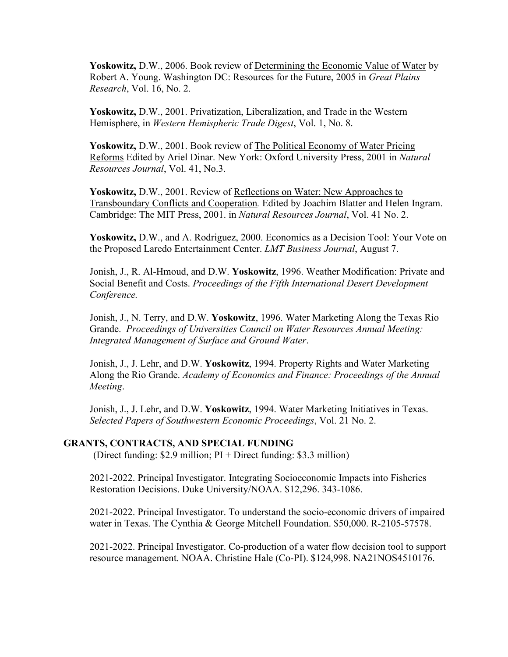**Yoskowitz,** D.W., 2006. Book review of Determining the Economic Value of Water by Robert A. Young. Washington DC: Resources for the Future, 2005 in *Great Plains Research*, Vol. 16, No. 2.

**Yoskowitz,** D.W., 2001. Privatization, Liberalization, and Trade in the Western Hemisphere, in *Western Hemispheric Trade Digest*, Vol. 1, No. 8.

**Yoskowitz,** D.W., 2001. Book review of The Political Economy of Water Pricing Reforms Edited by Ariel Dinar. New York: Oxford University Press, 2001 in *Natural Resources Journal*, Vol. 41, No.3.

**Yoskowitz,** D.W., 2001. Review of Reflections on Water: New Approaches to Transboundary Conflicts and Cooperation*.* Edited by Joachim Blatter and Helen Ingram. Cambridge: The MIT Press, 2001. in *Natural Resources Journal*, Vol. 41 No. 2.

**Yoskowitz,** D.W., and A. Rodriguez, 2000. Economics as a Decision Tool: Your Vote on the Proposed Laredo Entertainment Center. *LMT Business Journal*, August 7.

Jonish, J., R. Al-Hmoud, and D.W. **Yoskowitz**, 1996. Weather Modification: Private and Social Benefit and Costs. *Proceedings of the Fifth International Desert Development Conference.*

Jonish, J., N. Terry, and D.W. **Yoskowitz**, 1996. Water Marketing Along the Texas Rio Grande. *Proceedings of Universities Council on Water Resources Annual Meeting: Integrated Management of Surface and Ground Water*.

Jonish, J., J. Lehr, and D.W. **Yoskowitz**, 1994. Property Rights and Water Marketing Along the Rio Grande. *Academy of Economics and Finance: Proceedings of the Annual Meeting*.

Jonish, J., J. Lehr, and D.W. **Yoskowitz**, 1994. Water Marketing Initiatives in Texas. *Selected Papers of Southwestern Economic Proceedings*, Vol. 21 No. 2.

#### **GRANTS, CONTRACTS, AND SPECIAL FUNDING**

(Direct funding: \$2.9 million; PI + Direct funding: \$3.3 million)

2021-2022. Principal Investigator. Integrating Socioeconomic Impacts into Fisheries Restoration Decisions. Duke University/NOAA. \$12,296. 343-1086.

2021-2022. Principal Investigator. To understand the socio-economic drivers of impaired water in Texas. The Cynthia & George Mitchell Foundation. \$50,000. R-2105-57578.

2021-2022. Principal Investigator. Co-production of a water flow decision tool to support resource management. NOAA. Christine Hale (Co-PI). \$124,998. NA21NOS4510176.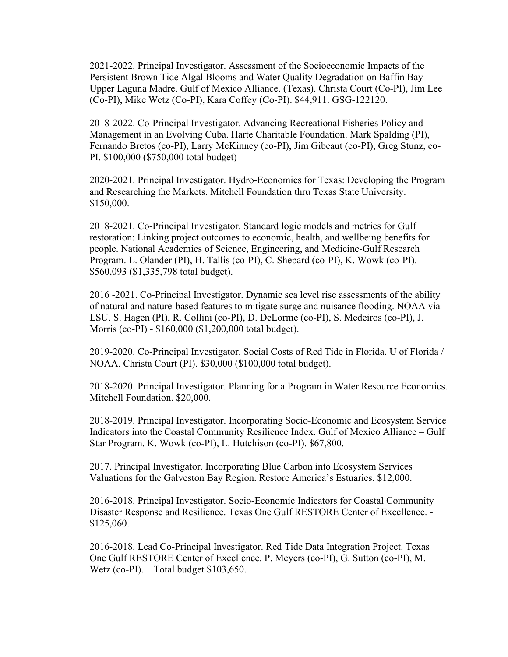2021-2022. Principal Investigator. Assessment of the Socioeconomic Impacts of the Persistent Brown Tide Algal Blooms and Water Quality Degradation on Baffin Bay-Upper Laguna Madre. Gulf of Mexico Alliance. (Texas). Christa Court (Co-PI), Jim Lee (Co-PI), Mike Wetz (Co-PI), Kara Coffey (Co-PI). \$44,911. GSG-122120.

2018-2022. Co-Principal Investigator. Advancing Recreational Fisheries Policy and Management in an Evolving Cuba. Harte Charitable Foundation. Mark Spalding (PI), Fernando Bretos (co-PI), Larry McKinney (co-PI), Jim Gibeaut (co-PI), Greg Stunz, co-PI. \$100,000 (\$750,000 total budget)

2020-2021. Principal Investigator. Hydro-Economics for Texas: Developing the Program and Researching the Markets. Mitchell Foundation thru Texas State University. \$150,000.

2018-2021. Co-Principal Investigator. Standard logic models and metrics for Gulf restoration: Linking project outcomes to economic, health, and wellbeing benefits for people. National Academies of Science, Engineering, and Medicine-Gulf Research Program. L. Olander (PI), H. Tallis (co-PI), C. Shepard (co-PI), K. Wowk (co-PI). \$560,093 (\$1,335,798 total budget).

2016 -2021. Co-Principal Investigator. Dynamic sea level rise assessments of the ability of natural and nature-based features to mitigate surge and nuisance flooding. NOAA via LSU. S. Hagen (PI), R. Collini (co-PI), D. DeLorme (co-PI), S. Medeiros (co-PI), J. Morris (co-PI) - \$160,000 (\$1,200,000 total budget).

2019-2020. Co-Principal Investigator. Social Costs of Red Tide in Florida. U of Florida / NOAA. Christa Court (PI). \$30,000 (\$100,000 total budget).

2018-2020. Principal Investigator. Planning for a Program in Water Resource Economics. Mitchell Foundation. \$20,000.

2018-2019. Principal Investigator. Incorporating Socio-Economic and Ecosystem Service Indicators into the Coastal Community Resilience Index. Gulf of Mexico Alliance – Gulf Star Program. K. Wowk (co-PI), L. Hutchison (co-PI). \$67,800.

2017. Principal Investigator. Incorporating Blue Carbon into Ecosystem Services Valuations for the Galveston Bay Region. Restore America's Estuaries. \$12,000.

2016-2018. Principal Investigator. Socio-Economic Indicators for Coastal Community Disaster Response and Resilience. Texas One Gulf RESTORE Center of Excellence. - \$125,060.

2016-2018. Lead Co-Principal Investigator. Red Tide Data Integration Project. Texas One Gulf RESTORE Center of Excellence. P. Meyers (co-PI), G. Sutton (co-PI), M. Wetz (co-PI).  $-$  Total budget \$103,650.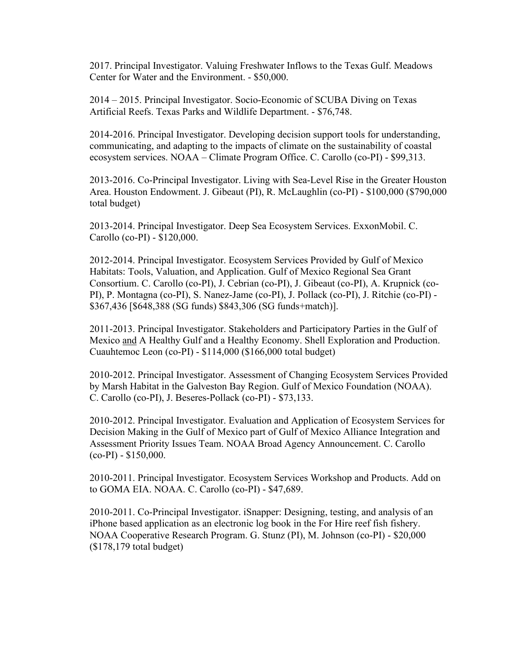2017. Principal Investigator. Valuing Freshwater Inflows to the Texas Gulf. Meadows Center for Water and the Environment. - \$50,000.

2014 – 2015. Principal Investigator. Socio-Economic of SCUBA Diving on Texas Artificial Reefs. Texas Parks and Wildlife Department. - \$76,748.

2014-2016. Principal Investigator. Developing decision support tools for understanding, communicating, and adapting to the impacts of climate on the sustainability of coastal ecosystem services. NOAA – Climate Program Office. C. Carollo (co-PI) - \$99,313.

2013-2016. Co-Principal Investigator. Living with Sea-Level Rise in the Greater Houston Area. Houston Endowment. J. Gibeaut (PI), R. McLaughlin (co-PI) - \$100,000 (\$790,000 total budget)

2013-2014. Principal Investigator. Deep Sea Ecosystem Services. ExxonMobil. C. Carollo (co-PI) - \$120,000.

2012-2014. Principal Investigator. Ecosystem Services Provided by Gulf of Mexico Habitats: Tools, Valuation, and Application. Gulf of Mexico Regional Sea Grant Consortium. C. Carollo (co-PI), J. Cebrian (co-PI), J. Gibeaut (co-PI), A. Krupnick (co-PI), P. Montagna (co-PI), S. Nanez-Jame (co-PI), J. Pollack (co-PI), J. Ritchie (co-PI) - \$367,436 [\$648,388 (SG funds) \$843,306 (SG funds+match)].

2011-2013. Principal Investigator. Stakeholders and Participatory Parties in the Gulf of Mexico and A Healthy Gulf and a Healthy Economy. Shell Exploration and Production. Cuauhtemoc Leon (co-PI) - \$114,000 (\$166,000 total budget)

2010-2012. Principal Investigator. Assessment of Changing Ecosystem Services Provided by Marsh Habitat in the Galveston Bay Region. Gulf of Mexico Foundation (NOAA). C. Carollo (co-PI), J. Beseres-Pollack (co-PI) - \$73,133.

2010-2012. Principal Investigator. Evaluation and Application of Ecosystem Services for Decision Making in the Gulf of Mexico part of Gulf of Mexico Alliance Integration and Assessment Priority Issues Team. NOAA Broad Agency Announcement. C. Carollo  $(co-PI) - $150,000.$ 

2010-2011. Principal Investigator. Ecosystem Services Workshop and Products. Add on to GOMA EIA. NOAA. C. Carollo (co-PI) - \$47,689.

2010-2011. Co-Principal Investigator. iSnapper: Designing, testing, and analysis of an iPhone based application as an electronic log book in the For Hire reef fish fishery. NOAA Cooperative Research Program. G. Stunz (PI), M. Johnson (co-PI) - \$20,000 (\$178,179 total budget)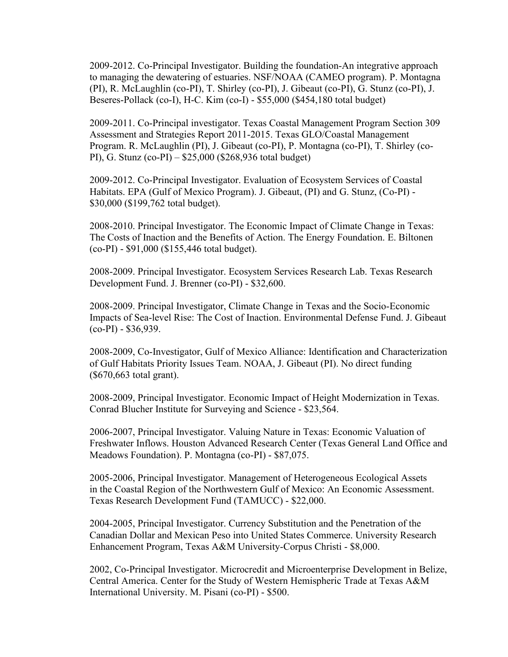2009-2012. Co-Principal Investigator. Building the foundation-An integrative approach to managing the dewatering of estuaries. NSF/NOAA (CAMEO program). P. Montagna (PI), R. McLaughlin (co-PI), T. Shirley (co-PI), J. Gibeaut (co-PI), G. Stunz (co-PI), J. Beseres-Pollack (co-I), H-C. Kim (co-I) - \$55,000 (\$454,180 total budget)

2009-2011. Co-Principal investigator. Texas Coastal Management Program Section 309 Assessment and Strategies Report 2011-2015. Texas GLO/Coastal Management Program. R. McLaughlin (PI), J. Gibeaut (co-PI), P. Montagna (co-PI), T. Shirley (co-PI), G. Stunz (co-PI) – \$25,000 (\$268,936 total budget)

2009-2012. Co-Principal Investigator. Evaluation of Ecosystem Services of Coastal Habitats. EPA (Gulf of Mexico Program). J. Gibeaut, (PI) and G. Stunz, (Co-PI) - \$30,000 (\$199,762 total budget).

2008-2010. Principal Investigator. The Economic Impact of Climate Change in Texas: The Costs of Inaction and the Benefits of Action. The Energy Foundation. E. Biltonen (co-PI) - \$91,000 (\$155,446 total budget).

2008-2009. Principal Investigator. Ecosystem Services Research Lab. Texas Research Development Fund. J. Brenner (co-PI) - \$32,600.

2008-2009. Principal Investigator, Climate Change in Texas and the Socio-Economic Impacts of Sea-level Rise: The Cost of Inaction. Environmental Defense Fund. J. Gibeaut  $(co-PI) - $36,939.$ 

2008-2009, Co-Investigator, Gulf of Mexico Alliance: Identification and Characterization of Gulf Habitats Priority Issues Team. NOAA, J. Gibeaut (PI). No direct funding (\$670,663 total grant).

2008-2009, Principal Investigator. Economic Impact of Height Modernization in Texas. Conrad Blucher Institute for Surveying and Science - \$23,564.

2006-2007, Principal Investigator. Valuing Nature in Texas: Economic Valuation of Freshwater Inflows. Houston Advanced Research Center (Texas General Land Office and Meadows Foundation). P. Montagna (co-PI) - \$87,075.

2005-2006, Principal Investigator. Management of Heterogeneous Ecological Assets in the Coastal Region of the Northwestern Gulf of Mexico: An Economic Assessment. Texas Research Development Fund (TAMUCC) - \$22,000.

2004-2005, Principal Investigator. Currency Substitution and the Penetration of the Canadian Dollar and Mexican Peso into United States Commerce. University Research Enhancement Program, Texas A&M University-Corpus Christi - \$8,000.

2002, Co-Principal Investigator. Microcredit and Microenterprise Development in Belize, Central America. Center for the Study of Western Hemispheric Trade at Texas A&M International University. M. Pisani (co-PI) - \$500.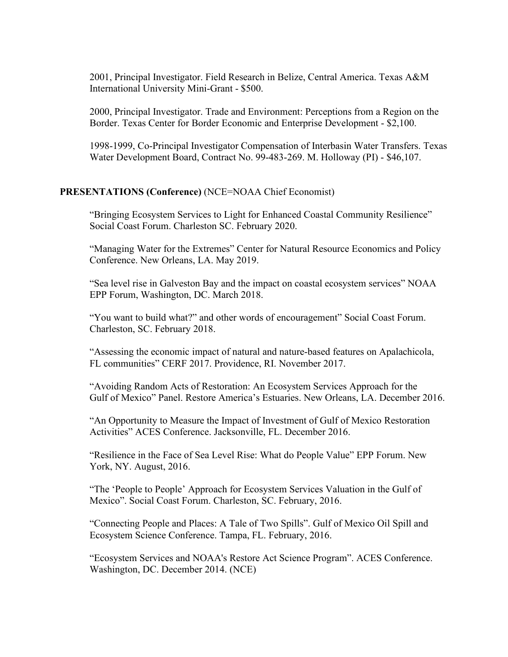2001, Principal Investigator. Field Research in Belize, Central America. Texas A&M International University Mini-Grant - \$500.

2000, Principal Investigator. Trade and Environment: Perceptions from a Region on the Border. Texas Center for Border Economic and Enterprise Development - \$2,100.

1998-1999, Co-Principal Investigator Compensation of Interbasin Water Transfers. Texas Water Development Board, Contract No. 99-483-269. M. Holloway (PI) - \$46,107.

#### **PRESENTATIONS (Conference)** (NCE=NOAA Chief Economist)

"Bringing Ecosystem Services to Light for Enhanced Coastal Community Resilience" Social Coast Forum. Charleston SC. February 2020.

"Managing Water for the Extremes" Center for Natural Resource Economics and Policy Conference. New Orleans, LA. May 2019.

"Sea level rise in Galveston Bay and the impact on coastal ecosystem services" NOAA EPP Forum, Washington, DC. March 2018.

"You want to build what?" and other words of encouragement" Social Coast Forum. Charleston, SC. February 2018.

"Assessing the economic impact of natural and nature-based features on Apalachicola, FL communities" CERF 2017. Providence, RI. November 2017.

"Avoiding Random Acts of Restoration: An Ecosystem Services Approach for the Gulf of Mexico" Panel. Restore America's Estuaries. New Orleans, LA. December 2016.

"An Opportunity to Measure the Impact of Investment of Gulf of Mexico Restoration Activities" ACES Conference. Jacksonville, FL. December 2016.

"Resilience in the Face of Sea Level Rise: What do People Value" EPP Forum. New York, NY. August, 2016.

"The 'People to People' Approach for Ecosystem Services Valuation in the Gulf of Mexico". Social Coast Forum. Charleston, SC. February, 2016.

"Connecting People and Places: A Tale of Two Spills". Gulf of Mexico Oil Spill and Ecosystem Science Conference. Tampa, FL. February, 2016.

"Ecosystem Services and NOAA's Restore Act Science Program". ACES Conference. Washington, DC. December 2014. (NCE)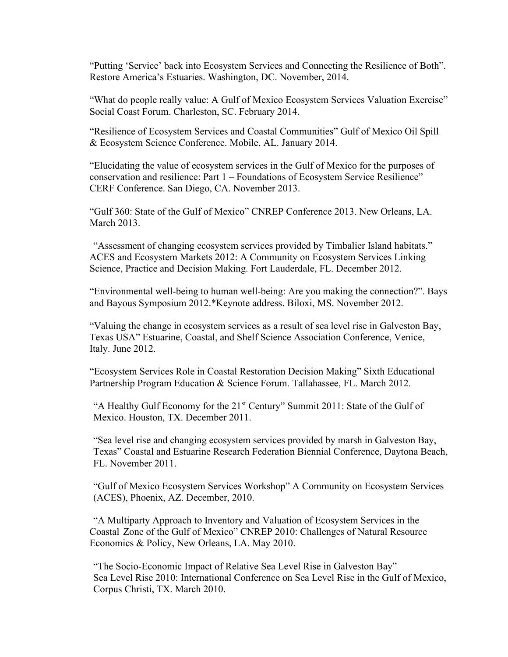"Putting 'Service' back into Ecosystem Services and Connecting the Resilience of Both". Restore America's Estuaries. Washington, DC. November, 2014.

"What do people really value: A Gulf of Mexico Ecosystem Services Valuation Exercise" Social Coast Forum. Charleston, SC. February 2014.

"Resilience of Ecosystem Services and Coastal Communities" Gulf of Mexico Oil Spill & Ecosystem Science Conference. Mobile, AL. January 2014.

"Elucidating the value of ecosystem services in the Gulf of Mexico for the purposes of conservation and resilience: Part 1 – Foundations of Ecosystem Service Resilience" CERF Conference. San Diego, CA. November 2013.

"Gulf 360: State of the Gulf of Mexico" CNREP Conference 2013. New Orleans, LA. March 2013.

"Assessment of changing ecosystem services provided by Timbalier Island habitats." ACES and Ecosystem Markets 2012: A Community on Ecosystem Services Linking Science, Practice and Decision Making. Fort Lauderdale, FL. December 2012.

"Environmental well-being to human well-being: Are you making the connection?". Bays and Bayous Symposium 2012.\*Keynote address. Biloxi, MS. November 2012.

"Valuing the change in ecosystem services as a result of sea level rise in Galveston Bay, Texas USA" Estuarine, Coastal, and Shelf Science Association Conference, Venice, Italy. June 2012.

"Ecosystem Services Role in Coastal Restoration Decision Making" Sixth Educational Partnership Program Education & Science Forum. Tallahassee, FL. March 2012.

"A Healthy Gulf Economy for the  $21<sup>st</sup>$  Century" Summit 2011: State of the Gulf of Mexico. Houston, TX. December 2011.

"Sea level rise and changing ecosystem services provided by marsh in Galveston Bay, Texas" Coastal and Estuarine Research Federation Biennial Conference, Daytona Beach, FL. November 2011.

"Gulf of Mexico Ecosystem Services Workshop" A Community on Ecosystem Services (ACES), Phoenix, AZ. December, 2010.

"A Multiparty Approach to Inventory and Valuation of Ecosystem Services in the Coastal Zone of the Gulf of Mexico" CNREP 2010: Challenges of Natural Resource Economics & Policy, New Orleans, LA. May 2010.

"The Socio-Economic Impact of Relative Sea Level Rise in Galveston Bay" Sea Level Rise 2010: International Conference on Sea Level Rise in the Gulf of Mexico, Corpus Christi, TX. March 2010.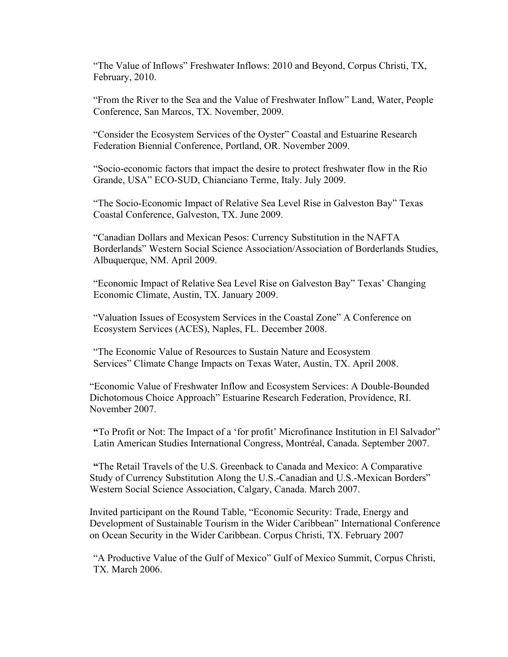"The Value of Inflows" Freshwater Inflows: 2010 and Beyond, Corpus Christi, TX, February, 2010.

"From the River to the Sea and the Value of Freshwater Inflow" Land, Water, People Conference, San Marcos, TX. November, 2009.

"Consider the Ecosystem Services of the Oyster" Coastal and Estuarine Research Federation Biennial Conference, Portland, OR. November 2009.

"Socio-economic factors that impact the desire to protect freshwater flow in the Rio Grande, USA" ECO-SUD, Chianciano Terme, Italy. July 2009.

"The Socio-Economic Impact of Relative Sea Level Rise in Galveston Bay" Texas Coastal Conference, Galveston, TX. June 2009.

"Canadian Dollars and Mexican Pesos: Currency Substitution in the NAFTA Borderlands" Western Social Science Association/Association of Borderlands Studies, Albuquerque, NM. April 2009.

"Economic Impact of Relative Sea Level Rise on Galveston Bay" Texas' Changing Economic Climate, Austin, TX. January 2009.

"Valuation Issues of Ecosystem Services in the Coastal Zone" A Conference on Ecosystem Services (ACES), Naples, FL. December 2008.

"The Economic Value of Resources to Sustain Nature and Ecosystem Services" Climate Change Impacts on Texas Water, Austin, TX. April 2008.

"Economic Value of Freshwater Inflow and Ecosystem Services: A Double-Bounded Dichotomous Choice Approach" Estuarine Research Federation, Providence, RI. November 2007.

**"**To Profit or Not: The Impact of a 'for profit' Microfinance Institution in El Salvador" Latin American Studies International Congress, Montréal, Canada. September 2007.

**"**The Retail Travels of the U.S. Greenback to Canada and Mexico: A Comparative Study of Currency Substitution Along the U.S.-Canadian and U.S.-Mexican Borders" Western Social Science Association, Calgary, Canada. March 2007.

Invited participant on the Round Table, "Economic Security: Trade, Energy and Development of Sustainable Tourism in the Wider Caribbean" International Conference on Ocean Security in the Wider Caribbean. Corpus Christi, TX. February 2007

"A Productive Value of the Gulf of Mexico" Gulf of Mexico Summit, Corpus Christi, TX. March 2006.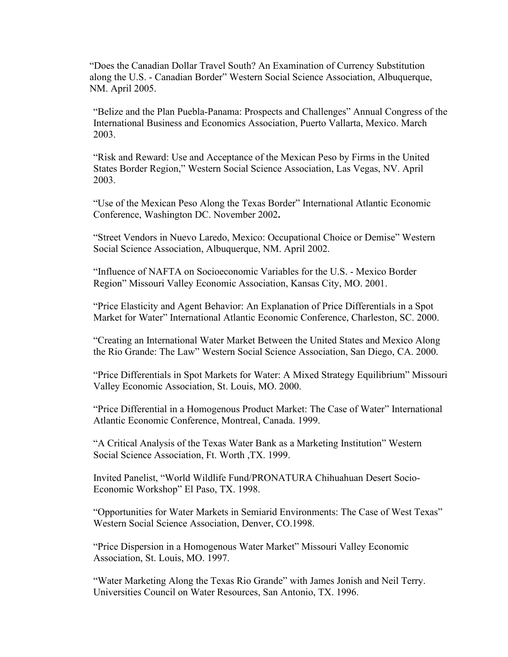"Does the Canadian Dollar Travel South? An Examination of Currency Substitution along the U.S. - Canadian Border" Western Social Science Association, Albuquerque, NM. April 2005.

"Belize and the Plan Puebla-Panama: Prospects and Challenges" Annual Congress of the International Business and Economics Association, Puerto Vallarta, Mexico. March 2003.

"Risk and Reward: Use and Acceptance of the Mexican Peso by Firms in the United States Border Region," Western Social Science Association, Las Vegas, NV. April 2003.

"Use of the Mexican Peso Along the Texas Border" International Atlantic Economic Conference, Washington DC. November 2002**.**

"Street Vendors in Nuevo Laredo, Mexico: Occupational Choice or Demise" Western Social Science Association, Albuquerque, NM. April 2002.

"Influence of NAFTA on Socioeconomic Variables for the U.S. - Mexico Border Region" Missouri Valley Economic Association, Kansas City, MO. 2001.

"Price Elasticity and Agent Behavior: An Explanation of Price Differentials in a Spot Market for Water" International Atlantic Economic Conference, Charleston, SC. 2000.

"Creating an International Water Market Between the United States and Mexico Along the Rio Grande: The Law" Western Social Science Association, San Diego, CA. 2000.

"Price Differentials in Spot Markets for Water: A Mixed Strategy Equilibrium" Missouri Valley Economic Association, St. Louis, MO. 2000.

"Price Differential in a Homogenous Product Market: The Case of Water" International Atlantic Economic Conference, Montreal, Canada. 1999.

"A Critical Analysis of the Texas Water Bank as a Marketing Institution" Western Social Science Association, Ft. Worth ,TX. 1999.

Invited Panelist, "World Wildlife Fund/PRONATURA Chihuahuan Desert Socio-Economic Workshop" El Paso, TX. 1998.

"Opportunities for Water Markets in Semiarid Environments: The Case of West Texas" Western Social Science Association, Denver, CO.1998.

"Price Dispersion in a Homogenous Water Market" Missouri Valley Economic Association, St. Louis, MO. 1997.

"Water Marketing Along the Texas Rio Grande" with James Jonish and Neil Terry. Universities Council on Water Resources, San Antonio, TX. 1996.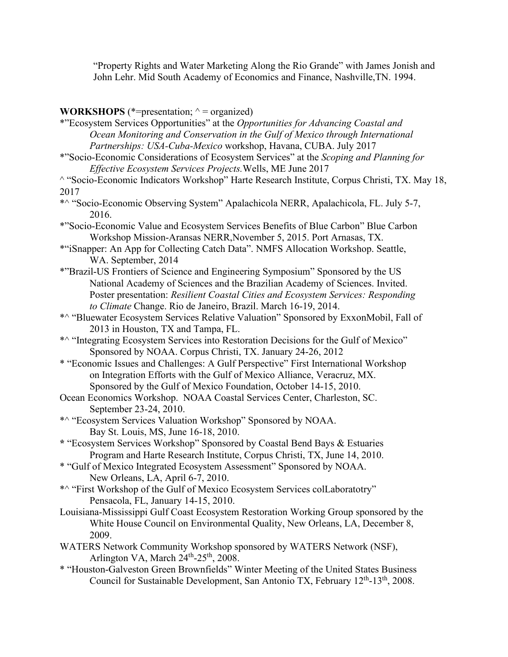"Property Rights and Water Marketing Along the Rio Grande" with James Jonish and John Lehr. Mid South Academy of Economics and Finance, Nashville, TN. 1994.

## **WORKSHOPS**  $(*=$ presentation;  $\wedge =$  organized)

| $\lambda$ or point $\lambda$<br>$\mu$ cschiation, $\sigma$ ganizca                                                                                                                                                                     |
|----------------------------------------------------------------------------------------------------------------------------------------------------------------------------------------------------------------------------------------|
| *"Ecosystem Services Opportunities" at the Opportunities for Advancing Coastal and<br>Ocean Monitoring and Conservation in the Gulf of Mexico through International<br>Partnerships: USA-Cuba-Mexico workshop, Havana, CUBA. July 2017 |
|                                                                                                                                                                                                                                        |
| *"Socio-Economic Considerations of Ecosystem Services" at the Scoping and Planning for                                                                                                                                                 |
| Effective Ecosystem Services Projects. Wells, ME June 2017                                                                                                                                                                             |
| <sup>^</sup> "Socio-Economic Indicators Workshop" Harte Research Institute, Corpus Christi, TX. May 18,                                                                                                                                |
| 2017                                                                                                                                                                                                                                   |
| *^ "Socio-Economic Observing System" Apalachicola NERR, Apalachicola, FL. July 5-7,<br>2016.                                                                                                                                           |
| *"Socio-Economic Value and Ecosystem Services Benefits of Blue Carbon" Blue Carbon                                                                                                                                                     |
| Workshop Mission-Aransas NERR, November 5, 2015. Port Arnasas, TX.                                                                                                                                                                     |
| *"iSnapper: An App for Collecting Catch Data". NMFS Allocation Workshop. Seattle,<br>WA. September, 2014                                                                                                                               |
| *"Brazil-US Frontiers of Science and Engineering Symposium" Sponsored by the US                                                                                                                                                        |
| National Academy of Sciences and the Brazilian Academy of Sciences. Invited.                                                                                                                                                           |
| Poster presentation: Resilient Coastal Cities and Ecosystem Services: Responding                                                                                                                                                       |
| to Climate Change. Rio de Janeiro, Brazil. March 16-19, 2014.                                                                                                                                                                          |
| *^ "Bluewater Ecosystem Services Relative Valuation" Sponsored by ExxonMobil, Fall of                                                                                                                                                  |
| 2013 in Houston, TX and Tampa, FL.                                                                                                                                                                                                     |
| *^ "Integrating Ecosystem Services into Restoration Decisions for the Gulf of Mexico"                                                                                                                                                  |
| Sponsored by NOAA. Corpus Christi, TX. January 24-26, 2012                                                                                                                                                                             |
| * "Economic Issues and Challenges: A Gulf Perspective" First International Workshop                                                                                                                                                    |
| on Integration Efforts with the Gulf of Mexico Alliance, Veracruz, MX.                                                                                                                                                                 |
| Sponsored by the Gulf of Mexico Foundation, October 14-15, 2010.                                                                                                                                                                       |
| Ocean Economics Workshop. NOAA Coastal Services Center, Charleston, SC.                                                                                                                                                                |
| September 23-24, 2010.                                                                                                                                                                                                                 |
| *^ "Ecosystem Services Valuation Workshop" Sponsored by NOAA.                                                                                                                                                                          |
| Bay St. Louis, MS, June 16-18, 2010.                                                                                                                                                                                                   |
| * "Ecosystem Services Workshop" Sponsored by Coastal Bend Bays & Estuaries                                                                                                                                                             |
| Program and Harte Research Institute, Corpus Christi, TX, June 14, 2010.                                                                                                                                                               |
| * "Gulf of Mexico Integrated Ecosystem Assessment" Sponsored by NOAA.                                                                                                                                                                  |
| New Orleans, LA, April 6-7, 2010.                                                                                                                                                                                                      |
| *^ "First Workshop of the Gulf of Mexico Ecosystem Services collaboratotry"                                                                                                                                                            |
| Pensacola, FL, January 14-15, 2010.                                                                                                                                                                                                    |
| Louisiana-Mississippi Gulf Coast Ecosystem Restoration Working Group sponsored by the                                                                                                                                                  |
| White House Council on Environmental Quality, New Orleans, LA, December 8,                                                                                                                                                             |
| 2009.                                                                                                                                                                                                                                  |
| WATERS Network Community Workshop sponsored by WATERS Network (NSF),                                                                                                                                                                   |
| Arlington VA, March 24 <sup>th</sup> -25 <sup>th</sup> , 2008.                                                                                                                                                                         |
| * "Houston-Galveston Green Brownfields" Winter Meeting of the United States Business                                                                                                                                                   |
| Council for Sustainable Development, San Antonio TX, February 12 <sup>th</sup> -13 <sup>th</sup> , 2008.                                                                                                                               |